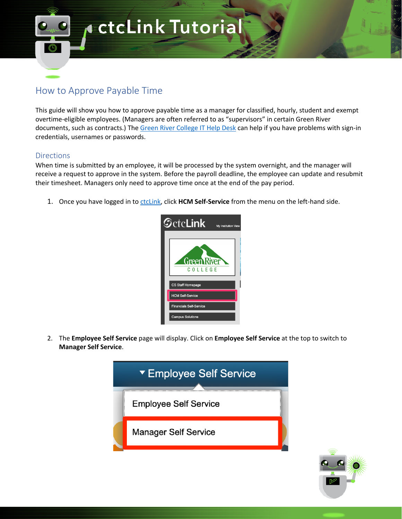## **ActcLink Tutorial**

## How to Approve Payable Time

This guide will show you how to approve payable time as a manager for classified, hourly, student and exempt overtime-eligible employees. (Managers are often referred to as "supervisors" in certain Green River documents, such as contracts.) The Green River College IT Help Desk can help if you have problems with sign-in credentials, usernames or passwords.

## Directions

When time is submitted by an employee, it will be processed by the system overnight, and the manager will receive a request to approve in the system. Before the payroll deadline, the employee can update and resubmit their timesheet. Managers only need to approve time once at the end of the pay period.

1. Once you have logged in to ctcLink, click **HCM Self-Service** from the menu on the left-hand side.



2. The **Employee Self Service** page will display. Click on **Employee Self Service** at the top to switch to **Manager Self Service**.



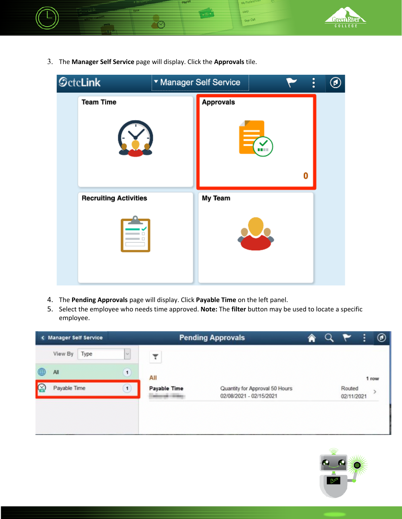

3. The **Manager Self Service** page will display. Click the **Approvals** tile.



- 4. The **Pending Approvals** page will display. Click **Payable Time** on the left panel.
- 5. Select the employee who needs time approved. **Note:** The **filter** button may be used to locate a specific employee.



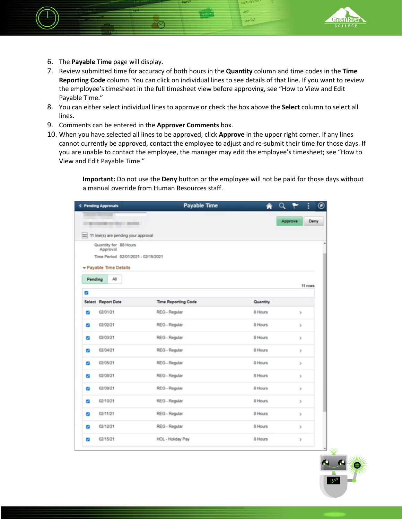

- 6. The **Payable Time** page will display.
- 7. Review submitted time for accuracy of both hours in the **Quantity** column and time codes in the **Time Reporting Code** column. You can click on individual lines to see details of that line. If you want to review the employee's timesheet in the full timesheet view before approving, see "How to View and Edit Payable Time."

**Liel**o Sion Ou

- 8. You can either select individual lines to approve or check the box above the **Select** column to select all lines.
- 9. Comments can be entered in the **Approver Comments** box.
- 10. When you have selected all lines to be approved, click **Approve** in the upper right corner. If any lines cannot currently be approved, contact the employee to adjust and re-submit their time for those days. If you are unable to contact the employee, the manager may edit the employee's timesheet; see "How to View and Edit Payable Time."

**Important:** Do not use the **Deny** button or the employee will not be paid for those days without a manual override from Human Resources staff.

| < Pending Approvals |                                                   | <b>Payable Time</b>        | A        |                 |  |
|---------------------|---------------------------------------------------|----------------------------|----------|-----------------|--|
|                     | <b>The Common</b><br>THE PERMIT OF REAL PROPERTY. |                            |          | Approve<br>Deny |  |
|                     |                                                   |                            |          |                 |  |
|                     | 11 line(s) are pending your approval              |                            |          |                 |  |
|                     | Quantity for 88 Hours<br>Approval                 |                            |          |                 |  |
|                     | Time Period 02/01/2021 - 02/15/2021               |                            |          |                 |  |
|                     | - Payable Time Details                            |                            |          |                 |  |
| Pending             | All                                               |                            |          |                 |  |
|                     |                                                   |                            |          | 11 rows         |  |
| ø                   |                                                   |                            |          |                 |  |
|                     | Select Report Date                                | <b>Time Reporting Code</b> | Quantity |                 |  |
| ø                   | 02/01/21                                          | REG - Regular              | 8 Hours  | $\,$            |  |
| ø                   | 02/02/21                                          | REG - Regular              | 8 Hours  | $\,$            |  |
| ø                   | 02/03/21                                          | REG - Regular              | 8 Hours  | $\,$            |  |
| ø                   | 02/04/21                                          | REG - Regular              | 8 Hours  | $\,$            |  |
| ø                   | 02/05/21                                          | REG - Regular              | 8 Hours  | $\,$            |  |
| ø                   | 02/08/21                                          | REG - Regular              | 8 Hours  | y.              |  |
| ø                   | 02/09/21                                          | REG - Regular              | 8 Hours  | $\,$            |  |
| a                   | 02/10/21                                          | REG - Regular              | 8 Hours  | y               |  |
| ø                   | 02/11/21                                          | REG - Regular              | 8 Hours  | $\,$            |  |
| ø                   | 02/12/21                                          | REG - Regular              | 8 Hours  | y               |  |
|                     |                                                   |                            |          |                 |  |